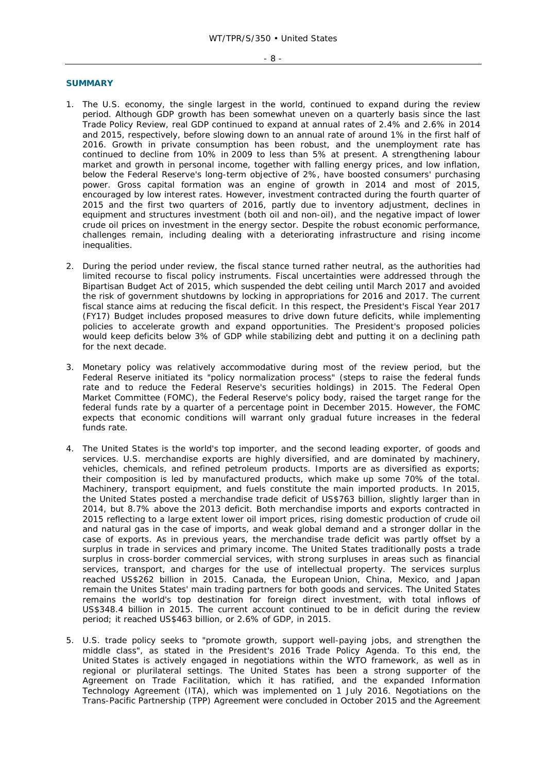## **SUMMARY**

- 1. The U.S. economy, the single largest in the world, continued to expand during the review period. Although GDP growth has been somewhat uneven on a quarterly basis since the last Trade Policy Review, real GDP continued to expand at annual rates of 2.4% and 2.6% in 2014 and 2015, respectively, before slowing down to an annual rate of around 1% in the first half of 2016. Growth in private consumption has been robust, and the unemployment rate has continued to decline from 10% in 2009 to less than 5% at present. A strengthening labour market and growth in personal income, together with falling energy prices, and low inflation, below the Federal Reserve's long-term objective of 2%, have boosted consumers' purchasing power. Gross capital formation was an engine of growth in 2014 and most of 2015, encouraged by low interest rates. However, investment contracted during the fourth quarter of 2015 and the first two quarters of 2016, partly due to inventory adjustment, declines in equipment and structures investment (both oil and non-oil), and the negative impact of lower crude oil prices on investment in the energy sector. Despite the robust economic performance, challenges remain, including dealing with a deteriorating infrastructure and rising income inequalities.
- 2. During the period under review, the fiscal stance turned rather neutral, as the authorities had limited recourse to fiscal policy instruments. Fiscal uncertainties were addressed through the Bipartisan Budget Act of 2015, which suspended the debt ceiling until March 2017 and avoided the risk of government shutdowns by locking in appropriations for 2016 and 2017. The current fiscal stance aims at reducing the fiscal deficit. In this respect, the President's Fiscal Year 2017 (FY17) Budget includes proposed measures to drive down future deficits, while implementing policies to accelerate growth and expand opportunities. The President's proposed policies would keep deficits below 3% of GDP while stabilizing debt and putting it on a declining path for the next decade.
- 3. Monetary policy was relatively accommodative during most of the review period, but the Federal Reserve initiated its "policy normalization process" (steps to raise the federal funds rate and to reduce the Federal Reserve's securities holdings) in 2015. The Federal Open Market Committee (FOMC), the Federal Reserve's policy body, raised the target range for the federal funds rate by a quarter of a percentage point in December 2015. However, the FOMC expects that economic conditions will warrant only gradual future increases in the federal funds rate.
- 4. The United States is the world's top importer, and the second leading exporter, of goods and services. U.S. merchandise exports are highly diversified, and are dominated by machinery, vehicles, chemicals, and refined petroleum products. Imports are as diversified as exports; their composition is led by manufactured products, which make up some 70% of the total. Machinery, transport equipment, and fuels constitute the main imported products. In 2015, the United States posted a merchandise trade deficit of US\$763 billion, slightly larger than in 2014, but 8.7% above the 2013 deficit. Both merchandise imports and exports contracted in 2015 reflecting to a large extent lower oil import prices, rising domestic production of crude oil and natural gas in the case of imports, and weak global demand and a stronger dollar in the case of exports. As in previous years, the merchandise trade deficit was partly offset by a surplus in trade in services and primary income. The United States traditionally posts a trade surplus in cross-border commercial services, with strong surpluses in areas such as financial services, transport, and charges for the use of intellectual property. The services surplus reached US\$262 billion in 2015. Canada, the European Union, China, Mexico, and Japan remain the Unites States' main trading partners for both goods and services. The United States remains the world's top destination for foreign direct investment, with total inflows of US\$348.4 billion in 2015. The current account continued to be in deficit during the review period; it reached US\$463 billion, or 2.6% of GDP, in 2015.
- 5. U.S. trade policy seeks to "promote growth, support well-paying jobs, and strengthen the middle class", as stated in the President's 2016 Trade Policy Agenda. To this end, the United States is actively engaged in negotiations within the WTO framework, as well as in regional or plurilateral settings. The United States has been a strong supporter of the Agreement on Trade Facilitation, which it has ratified, and the expanded Information Technology Agreement (ITA), which was implemented on 1 July 2016. Negotiations on the Trans-Pacific Partnership (TPP) Agreement were concluded in October 2015 and the Agreement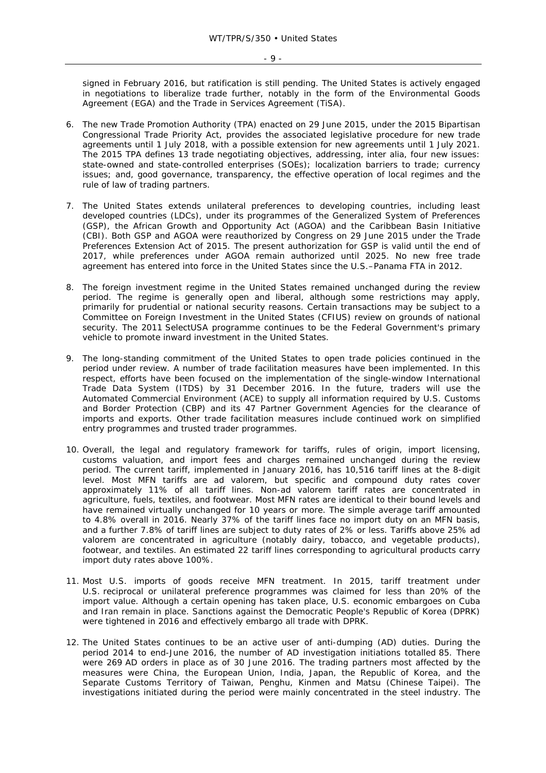signed in February 2016, but ratification is still pending. The United States is actively engaged in negotiations to liberalize trade further, notably in the form of the Environmental Goods Agreement (EGA) and the Trade in Services Agreement (TiSA).

- 6. The new Trade Promotion Authority (TPA) enacted on 29 June 2015, under the 2015 Bipartisan Congressional Trade Priority Act, provides the associated legislative procedure for new trade agreements until 1 July 2018, with a possible extension for new agreements until 1 July 2021. The 2015 TPA defines 13 trade negotiating objectives, addressing, *inter alia*, four new issues: state-owned and state-controlled enterprises (SOEs); localization barriers to trade; currency issues; and, good governance, transparency, the effective operation of local regimes and the rule of law of trading partners.
- 7. The United States extends unilateral preferences to developing countries, including least developed countries (LDCs), under its programmes of the Generalized System of Preferences (GSP), the African Growth and Opportunity Act (AGOA) and the Caribbean Basin Initiative (CBI). Both GSP and AGOA were reauthorized by Congress on 29 June 2015 under the Trade Preferences Extension Act of 2015. The present authorization for GSP is valid until the end of 2017, while preferences under AGOA remain authorized until 2025. No new free trade agreement has entered into force in the United States since the U.S.–Panama FTA in 2012.
- 8. The foreign investment regime in the United States remained unchanged during the review period. The regime is generally open and liberal, although some restrictions may apply, primarily for prudential or national security reasons. Certain transactions may be subject to a Committee on Foreign Investment in the United States (CFIUS) review on grounds of national security. The 2011 SelectUSA programme continues to be the Federal Government's primary vehicle to promote inward investment in the United States.
- 9. The long-standing commitment of the United States to open trade policies continued in the period under review. A number of trade facilitation measures have been implemented. In this respect, efforts have been focused on the implementation of the single-window International Trade Data System (ITDS) by 31 December 2016. In the future, traders will use the Automated Commercial Environment (ACE) to supply all information required by U.S. Customs and Border Protection (CBP) and its 47 Partner Government Agencies for the clearance of imports and exports. Other trade facilitation measures include continued work on simplified entry programmes and trusted trader programmes.
- 10. Overall, the legal and regulatory framework for tariffs, rules of origin, import licensing, customs valuation, and import fees and charges remained unchanged during the review period. The current tariff, implemented in January 2016, has 10,516 tariff lines at the 8-digit level. Most MFN tariffs are *ad valorem*, but specific and compound duty rates cover approximately 11% of all tariff lines. Non-*ad valorem* tariff rates are concentrated in agriculture, fuels, textiles, and footwear. Most MFN rates are identical to their bound levels and have remained virtually unchanged for 10 years or more. The simple average tariff amounted to 4.8% overall in 2016. Nearly 37% of the tariff lines face no import duty on an MFN basis, and a further 7.8% of tariff lines are subject to duty rates of 2% or less. Tariffs above 25% *ad valorem* are concentrated in agriculture (notably dairy, tobacco, and vegetable products), footwear, and textiles. An estimated 22 tariff lines corresponding to agricultural products carry import duty rates above 100%.
- 11. Most U.S. imports of goods receive MFN treatment. In 2015, tariff treatment under U.S. reciprocal or unilateral preference programmes was claimed for less than 20% of the import value. Although a certain opening has taken place, U.S. economic embargoes on Cuba and Iran remain in place. Sanctions against the Democratic People's Republic of Korea (DPRK) were tightened in 2016 and effectively embargo all trade with DPRK.
- 12. The United States continues to be an active user of anti-dumping (AD) duties. During the period 2014 to end-June 2016, the number of AD investigation initiations totalled 85. There were 269 AD orders in place as of 30 June 2016. The trading partners most affected by the measures were China, the European Union, India, Japan, the Republic of Korea, and the Separate Customs Territory of Taiwan, Penghu, Kinmen and Matsu (Chinese Taipei). The investigations initiated during the period were mainly concentrated in the steel industry. The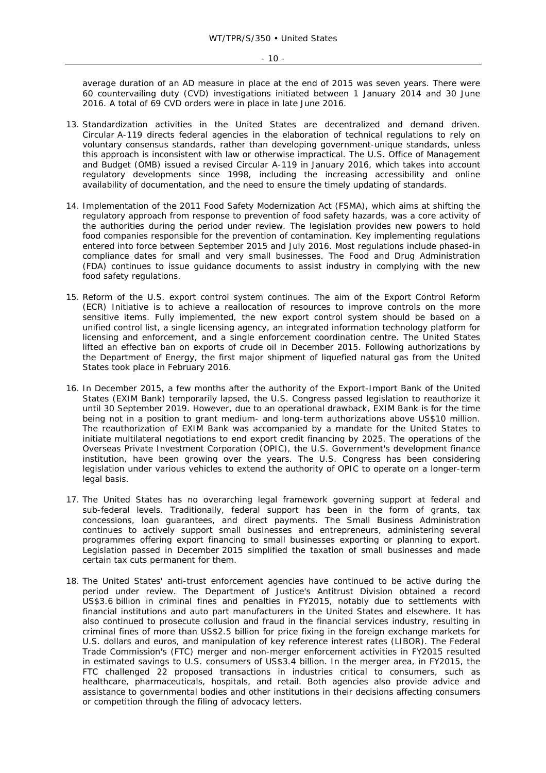average duration of an AD measure in place at the end of 2015 was seven years. There were 60 countervailing duty (CVD) investigations initiated between 1 January 2014 and 30 June 2016. A total of 69 CVD orders were in place in late June 2016.

- 13. Standardization activities in the United States are decentralized and demand driven. Circular A-119 directs federal agencies in the elaboration of technical regulations to rely on voluntary consensus standards, rather than developing government-unique standards, unless this approach is inconsistent with law or otherwise impractical. The U.S. Office of Management and Budget (OMB) issued a revised Circular A-119 in January 2016, which takes into account regulatory developments since 1998, including the increasing accessibility and online availability of documentation, and the need to ensure the timely updating of standards.
- 14. Implementation of the 2011 Food Safety Modernization Act (FSMA), which aims at shifting the regulatory approach from response to prevention of food safety hazards, was a core activity of the authorities during the period under review. The legislation provides new powers to hold food companies responsible for the prevention of contamination. Key implementing regulations entered into force between September 2015 and July 2016. Most regulations include phased-in compliance dates for small and very small businesses. The Food and Drug Administration (FDA) continues to issue guidance documents to assist industry in complying with the new food safety regulations.
- 15. Reform of the U.S. export control system continues. The aim of the Export Control Reform (ECR) Initiative is to achieve a reallocation of resources to improve controls on the more sensitive items. Fully implemented, the new export control system should be based on a unified control list, a single licensing agency, an integrated information technology platform for licensing and enforcement, and a single enforcement coordination centre. The United States lifted an effective ban on exports of crude oil in December 2015. Following authorizations by the Department of Energy, the first major shipment of liquefied natural gas from the United States took place in February 2016.
- 16. In December 2015, a few months after the authority of the Export-Import Bank of the United States (EXIM Bank) temporarily lapsed, the U.S. Congress passed legislation to reauthorize it until 30 September 2019. However, due to an operational drawback, EXIM Bank is for the time being not in a position to grant medium- and long-term authorizations above US\$10 million. The reauthorization of EXIM Bank was accompanied by a mandate for the United States to initiate multilateral negotiations to end export credit financing by 2025. The operations of the Overseas Private Investment Corporation (OPIC), the U.S. Government's development finance institution, have been growing over the years. The U.S. Congress has been considering legislation under various vehicles to extend the authority of OPIC to operate on a longer-term legal basis.
- 17. The United States has no overarching legal framework governing support at federal and sub-federal levels. Traditionally, federal support has been in the form of grants, tax concessions, loan guarantees, and direct payments. The Small Business Administration continues to actively support small businesses and entrepreneurs, administering several programmes offering export financing to small businesses exporting or planning to export. Legislation passed in December 2015 simplified the taxation of small businesses and made certain tax cuts permanent for them.
- 18. The United States' anti-trust enforcement agencies have continued to be active during the period under review. The Department of Justice's Antitrust Division obtained a record US\$3.6 billion in criminal fines and penalties in FY2015, notably due to settlements with financial institutions and auto part manufacturers in the United States and elsewhere. It has also continued to prosecute collusion and fraud in the financial services industry, resulting in criminal fines of more than US\$2.5 billion for price fixing in the foreign exchange markets for U.S. dollars and euros, and manipulation of key reference interest rates (LIBOR). The Federal Trade Commission's (FTC) merger and non-merger enforcement activities in FY2015 resulted in estimated savings to U.S. consumers of US\$3.4 billion. In the merger area, in FY2015, the FTC challenged 22 proposed transactions in industries critical to consumers, such as healthcare, pharmaceuticals, hospitals, and retail. Both agencies also provide advice and assistance to governmental bodies and other institutions in their decisions affecting consumers or competition through the filing of advocacy letters.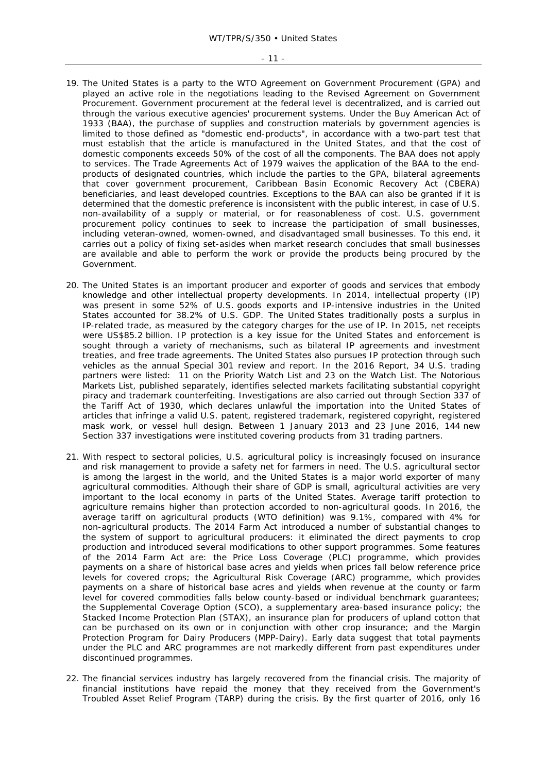- 19. The United States is a party to the WTO Agreement on Government Procurement (GPA) and played an active role in the negotiations leading to the Revised Agreement on Government Procurement. Government procurement at the federal level is decentralized, and is carried out through the various executive agencies' procurement systems. Under the Buy American Act of 1933 (BAA), the purchase of supplies and construction materials by government agencies is limited to those defined as "domestic end-products", in accordance with a two-part test that must establish that the article is manufactured in the United States, and that the cost of domestic components exceeds 50% of the cost of all the components. The BAA does not apply to services. The Trade Agreements Act of 1979 waives the application of the BAA to the endproducts of designated countries, which include the parties to the GPA, bilateral agreements that cover government procurement, Caribbean Basin Economic Recovery Act (CBERA) beneficiaries, and least developed countries. Exceptions to the BAA can also be granted if it is determined that the domestic preference is inconsistent with the public interest, in case of U.S. non-availability of a supply or material, or for reasonableness of cost. U.S. government procurement policy continues to seek to increase the participation of small businesses, including veteran-owned, women-owned, and disadvantaged small businesses. To this end, it carries out a policy of fixing set-asides when market research concludes that small businesses are available and able to perform the work or provide the products being procured by the Government.
- 20. The United States is an important producer and exporter of goods and services that embody knowledge and other intellectual property developments. In 2014, intellectual property (IP) was present in some 52% of U.S. goods exports and IP-intensive industries in the United States accounted for 38.2% of U.S. GDP. The United States traditionally posts a surplus in IP-related trade, as measured by the category charges for the use of IP. In 2015, net receipts were US\$85.2 billion. IP protection is a key issue for the United States and enforcement is sought through a variety of mechanisms, such as bilateral IP agreements and investment treaties, and free trade agreements. The United States also pursues IP protection through such vehicles as the annual Special 301 review and report. In the 2016 Report, 34 U.S. trading partners were listed: 11 on the Priority Watch List and 23 on the Watch List. The Notorious Markets List, published separately, identifies selected markets facilitating substantial copyright piracy and trademark counterfeiting. Investigations are also carried out through Section 337 of the Tariff Act of 1930, which declares unlawful the importation into the United States of articles that infringe a valid U.S. patent, registered trademark, registered copyright, registered mask work, or vessel hull design. Between 1 January 2013 and 23 June 2016, 144 new Section 337 investigations were instituted covering products from 31 trading partners.
- 21. With respect to sectoral policies, U.S. agricultural policy is increasingly focused on insurance and risk management to provide a safety net for farmers in need. The U.S. agricultural sector is among the largest in the world, and the United States is a major world exporter of many agricultural commodities. Although their share of GDP is small, agricultural activities are very important to the local economy in parts of the United States. Average tariff protection to agriculture remains higher than protection accorded to non-agricultural goods. In 2016, the average tariff on agricultural products (WTO definition) was 9.1%, compared with 4% for non-agricultural products. The 2014 Farm Act introduced a number of substantial changes to the system of support to agricultural producers: it eliminated the direct payments to crop production and introduced several modifications to other support programmes. Some features of the 2014 Farm Act are: the Price Loss Coverage (PLC) programme, which provides payments on a share of historical base acres and yields when prices fall below reference price levels for covered crops; the Agricultural Risk Coverage (ARC) programme, which provides payments on a share of historical base acres and yields when revenue at the county or farm level for covered commodities falls below county-based or individual benchmark guarantees; the Supplemental Coverage Option (SCO), a supplementary area-based insurance policy; the Stacked Income Protection Plan (STAX), an insurance plan for producers of upland cotton that can be purchased on its own or in conjunction with other crop insurance; and the Margin Protection Program for Dairy Producers (MPP-Dairy). Early data suggest that total payments under the PLC and ARC programmes are not markedly different from past expenditures under discontinued programmes.
- 22. The financial services industry has largely recovered from the financial crisis. The majority of financial institutions have repaid the money that they received from the Government's Troubled Asset Relief Program (TARP) during the crisis. By the first quarter of 2016, only 16